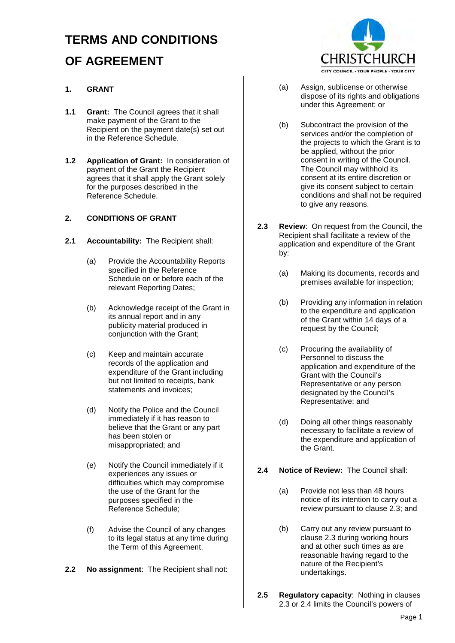# **TERMS AND CONDITIONS OF AGREEMENT**

## **1. GRANT**

- **1.1 Grant:** The Council agrees that it shall make payment of the Grant to the Recipient on the payment date(s) set out in the Reference Schedule.
- **1.2 Application of Grant:** In consideration of payment of the Grant the Recipient agrees that it shall apply the Grant solely for the purposes described in the Reference Schedule.

## **2. CONDITIONS OF GRANT**

- **2.1 Accountability:** The Recipient shall:
	- (a) Provide the Accountability Reports specified in the Reference Schedule on or before each of the relevant Reporting Dates;
	- (b) Acknowledge receipt of the Grant in its annual report and in any publicity material produced in conjunction with the Grant;
	- (c) Keep and maintain accurate records of the application and expenditure of the Grant including but not limited to receipts, bank statements and invoices;
	- (d) Notify the Police and the Council immediately if it has reason to believe that the Grant or any part has been stolen or misappropriated; and
	- (e) Notify the Council immediately if it experiences any issues or difficulties which may compromise the use of the Grant for the purposes specified in the Reference Schedule;
	- (f) Advise the Council of any changes to its legal status at any time during the Term of this Agreement.
- **2.2 No assignment**: The Recipient shall not:



- (a) Assign, sublicense or otherwise dispose of its rights and obligations under this Agreement; or
- (b) Subcontract the provision of the services and/or the completion of the projects to which the Grant is to be applied, without the prior consent in writing of the Council. The Council may withhold its consent at its entire discretion or give its consent subject to certain conditions and shall not be required to give any reasons.
- **2.3 Review**: On request from the Council, the Recipient shall facilitate a review of the application and expenditure of the Grant by:
	- (a) Making its documents, records and premises available for inspection;
	- (b) Providing any information in relation to the expenditure and application of the Grant within 14 days of a request by the Council;
	- (c) Procuring the availability of Personnel to discuss the application and expenditure of the Grant with the Council's Representative or any person designated by the Council's Representative; and
	- (d) Doing all other things reasonably necessary to facilitate a review of the expenditure and application of the Grant.

## **2.4 Notice of Review:** The Council shall:

- (a) Provide not less than 48 hours notice of its intention to carry out a review pursuant to clause 2.3; and
- (b) Carry out any review pursuant to clause 2.3 during working hours and at other such times as are reasonable having regard to the nature of the Recipient's undertakings.
- **2.5 Regulatory capacity**: Nothing in clauses 2.3 or 2.4 limits the Council's powers of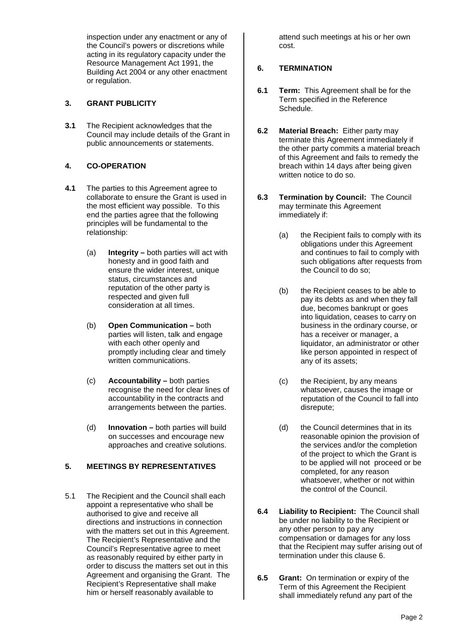inspection under any enactment or any of the Council's powers or discretions while acting in its regulatory capacity under the Resource Management Act 1991, the Building Act 2004 or any other enactment or regulation.

#### **3. GRANT PUBLICITY**

**3.1** The Recipient acknowledges that the Council may include details of the Grant in public announcements or statements.

#### **4. CO-OPERATION**

- **4.1** The parties to this Agreement agree to collaborate to ensure the Grant is used in the most efficient way possible. To this end the parties agree that the following principles will be fundamental to the relationship:
	- (a) **Integrity** both parties will act with honesty and in good faith and ensure the wider interest, unique status, circumstances and reputation of the other party is respected and given full consideration at all times.
	- (b) **Open Communication** both parties will listen, talk and engage with each other openly and promptly including clear and timely written communications.
	- (c) **Accountability** both parties recognise the need for clear lines of accountability in the contracts and arrangements between the parties.
	- (d) **Innovation** both parties will build on successes and encourage new approaches and creative solutions.

## **5. MEETINGS BY REPRESENTATIVES**

5.1 The Recipient and the Council shall each appoint a representative who shall be authorised to give and receive all directions and instructions in connection with the matters set out in this Agreement. The Recipient's Representative and the Council's Representative agree to meet as reasonably required by either party in order to discuss the matters set out in this Agreement and organising the Grant. The Recipient's Representative shall make him or herself reasonably available to

attend such meetings at his or her own cost.

## **6. TERMINATION**

- **6.1 Term:** This Agreement shall be for the Term specified in the Reference Schedule.
- **6.2 Material Breach:** Either party may terminate this Agreement immediately if the other party commits a material breach of this Agreement and fails to remedy the breach within 14 days after being given written notice to do so.
- **6.3 Termination by Council:** The Council may terminate this Agreement immediately if:
	- (a) the Recipient fails to comply with its obligations under this Agreement and continues to fail to comply with such obligations after requests from the Council to do so;
	- (b) the Recipient ceases to be able to pay its debts as and when they fall due, becomes bankrupt or goes into liquidation, ceases to carry on business in the ordinary course, or has a receiver or manager, a liquidator, an administrator or other like person appointed in respect of any of its assets;
	- (c) the Recipient, by any means whatsoever, causes the image or reputation of the Council to fall into disrepute;
	- (d) the Council determines that in its reasonable opinion the provision of the services and/or the completion of the project to which the Grant is to be applied will not proceed or be completed, for any reason whatsoever, whether or not within the control of the Council.
- **6.4 Liability to Recipient:** The Council shall be under no liability to the Recipient or any other person to pay any compensation or damages for any loss that the Recipient may suffer arising out of termination under this clause 6.
- **6.5 Grant:** On termination or expiry of the Term of this Agreement the Recipient shall immediately refund any part of the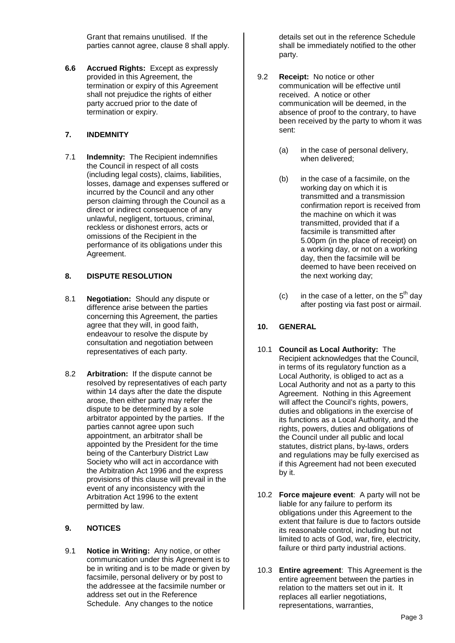Grant that remains unutilised. If the parties cannot agree, clause 8 shall apply.

**6.6 Accrued Rights:** Except as expressly provided in this Agreement, the termination or expiry of this Agreement shall not prejudice the rights of either party accrued prior to the date of termination or expiry.

#### **7. INDEMNITY**

7.1 **Indemnity:** The Recipient indemnifies the Council in respect of all costs (including legal costs), claims, liabilities, losses, damage and expenses suffered or incurred by the Council and any other person claiming through the Council as a direct or indirect consequence of any unlawful, negligent, tortuous, criminal, reckless or dishonest errors, acts or omissions of the Recipient in the performance of its obligations under this Agreement.

#### **8. DISPUTE RESOLUTION**

- 8.1 **Negotiation:** Should any dispute or difference arise between the parties concerning this Agreement, the parties agree that they will, in good faith, endeavour to resolve the dispute by consultation and negotiation between representatives of each party.
- 8.2 **Arbitration:** If the dispute cannot be resolved by representatives of each party within 14 days after the date the dispute arose, then either party may refer the dispute to be determined by a sole arbitrator appointed by the parties. If the parties cannot agree upon such appointment, an arbitrator shall be appointed by the President for the time being of the Canterbury District Law Society who will act in accordance with the Arbitration Act 1996 and the express provisions of this clause will prevail in the event of any inconsistency with the Arbitration Act 1996 to the extent permitted by law.

## **9. NOTICES**

9.1 **Notice in Writing:** Any notice, or other communication under this Agreement is to be in writing and is to be made or given by facsimile, personal delivery or by post to the addressee at the facsimile number or address set out in the Reference Schedule. Any changes to the notice

details set out in the reference Schedule shall be immediately notified to the other party.

- 9.2 **Receipt:** No notice or other communication will be effective until received. A notice or other communication will be deemed, in the absence of proof to the contrary, to have been received by the party to whom it was sent:
	- (a) in the case of personal delivery, when delivered;
	- (b) in the case of a facsimile, on the working day on which it is transmitted and a transmission confirmation report is received from the machine on which it was transmitted, provided that if a facsimile is transmitted after 5.00pm (in the place of receipt) on a working day, or not on a working day, then the facsimile will be deemed to have been received on the next working day;
	- (c) in the case of a letter, on the  $5<sup>th</sup>$  day after posting via fast post or airmail.

## **10. GENERAL**

- 10.1 **Council as Local Authority:** The Recipient acknowledges that the Council, in terms of its regulatory function as a Local Authority, is obliged to act as a Local Authority and not as a party to this Agreement. Nothing in this Agreement will affect the Council's rights, powers, duties and obligations in the exercise of its functions as a Local Authority, and the rights, powers, duties and obligations of the Council under all public and local statutes, district plans, by-laws, orders and regulations may be fully exercised as if this Agreement had not been executed by it.
- 10.2 **Force majeure event**: A party will not be liable for any failure to perform its obligations under this Agreement to the extent that failure is due to factors outside its reasonable control, including but not limited to acts of God, war, fire, electricity, failure or third party industrial actions.
- 10.3 **Entire agreement**: This Agreement is the entire agreement between the parties in relation to the matters set out in it. It replaces all earlier negotiations, representations, warranties,